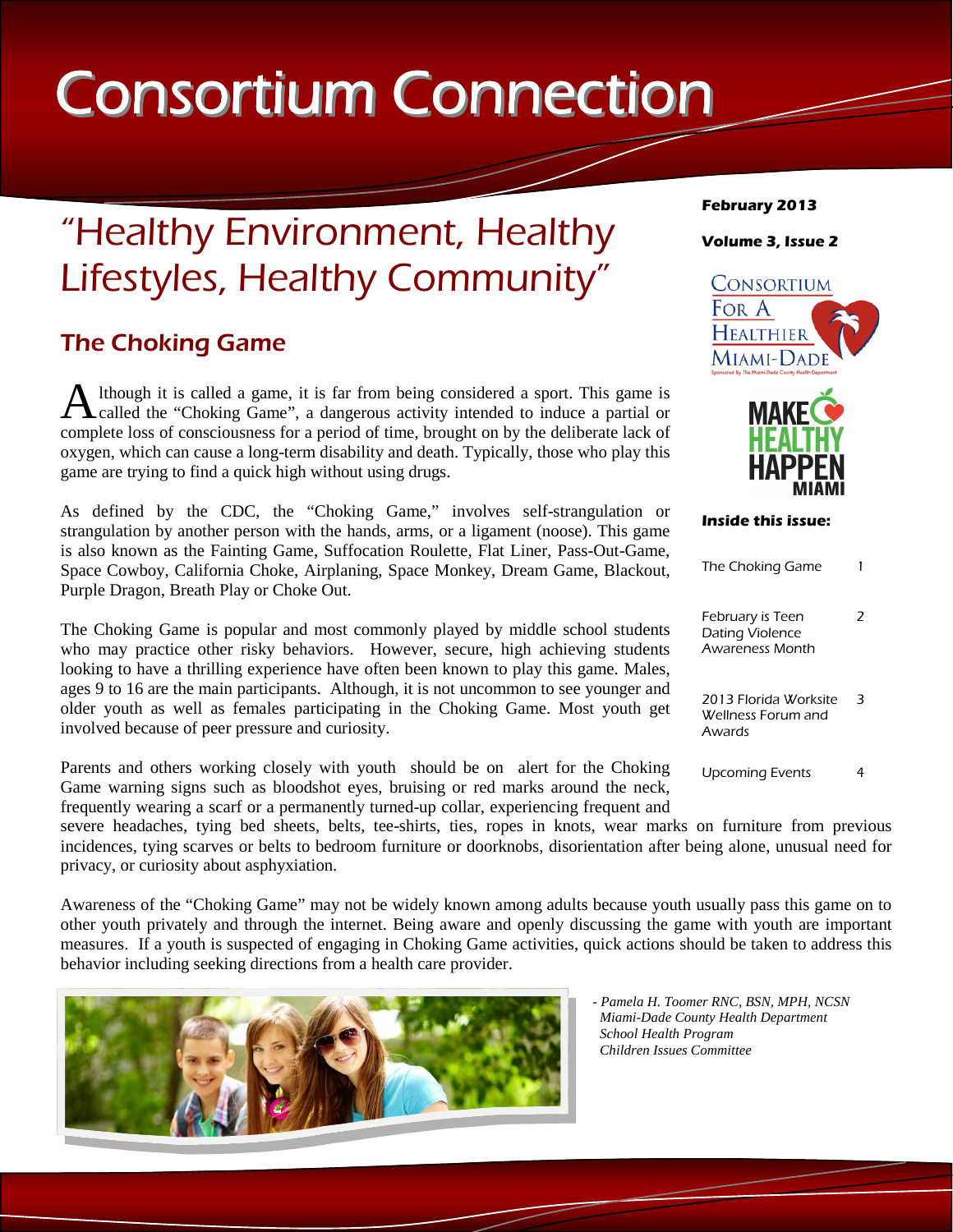# Consortium Connection

## "Healthy Environment, Healthy Lifestyles, Healthy Community"

## The Choking Game

A lthough it is called a game, it is far from being considered a sport. This game is called the "Choking Game", a dangerous activity intended to induce a partial or complete loss of consciousness for a period of time, brought on by the deliberate lack of oxygen, which can cause a long-term disability and death. Typically, those who play this game are trying to find a quick high without using drugs.

As defined by the CDC, the "Choking Game," involves self-strangulation or strangulation by another person with the hands, arms, or a ligament (noose). This game is also known as the Fainting Game, Suffocation Roulette, Flat Liner, Pass-Out-Game, Space Cowboy, California Choke, Airplaning, Space Monkey, Dream Game, Blackout, Purple Dragon, Breath Play or Choke Out.

The Choking Game is popular and most commonly played by middle school students who may practice other risky behaviors. However, secure, high achieving students looking to have a thrilling experience have often been known to play this game. Males, ages 9 to 16 are the main participants. Although, it is not uncommon to see younger and older youth as well as females participating in the Choking Game. Most youth get involved because of peer pressure and curiosity.

Parents and others working closely with youth should be on alert for the Choking Game warning signs such as bloodshot eyes, bruising or red marks around the neck, frequently wearing a scarf or a permanently turned-up collar, experiencing frequent and

severe headaches, tying bed sheets, belts, tee-shirts, ties, ropes in knots, wear marks on furniture from previous incidences, tying scarves or belts to bedroom furniture or doorknobs, disorientation after being alone, unusual need for privacy, or curiosity about asphyxiation.

Awareness of the "Choking Game" may not be widely known among adults because youth usually pass this game on to other youth privately and through the internet. Being aware and openly discussing the game with youth are important measures. If a youth is suspected of engaging in Choking Game activities, quick actions should be taken to address this behavior including seeking directions from a health care provider.



#### **February 2013**

#### **Volume 3, Issue 2**





#### **Inside this issue:**

| The Choking Game                                                     |  |
|----------------------------------------------------------------------|--|
| February is Teen<br><b>Dating Violence</b><br><b>Awareness Month</b> |  |
| 2013 Elorida Worksite<br>Wellness Forum and<br>Awards                |  |
| <b>Upcoming Events</b>                                               |  |

*- Pamela H. Toomer RNC, BSN, MPH, NCSN Miami-Dade County Health Department School Health Program Children Issues Committee*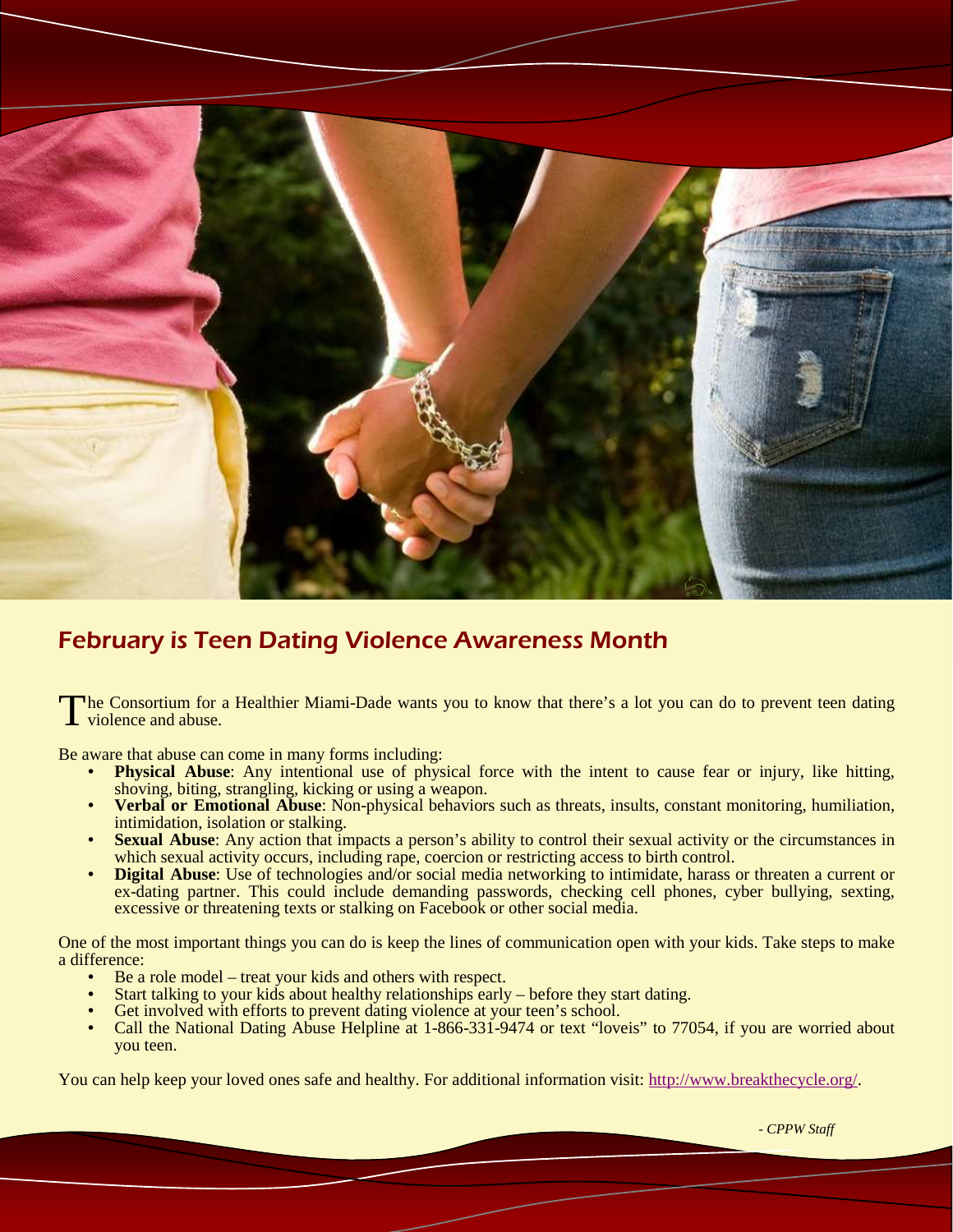

## February is Teen Dating Violence Awareness Month

The Consortium for a Healthier Miami-Dade wants you to know that there's a lot you can do to prevent teen dating violence and abuse.

Be aware that abuse can come in many forms including:

- **Physical Abuse**: Any intentional use of physical force with the intent to cause fear or injury, like hitting, shoving, biting, strangling, kicking or using a weapon.
- **Verbal or Emotional Abuse:** Non-physical behaviors such as threats, insults, constant monitoring, humiliation, intimidation, isolation or stalking.
- **Sexual Abuse:** Any action that impacts a person's ability to control their sexual activity or the circumstances in which sexual activity occurs, including rape, coercion or restricting access to birth control.
- **Digital Abuse:** Use of technologies and/or social media networking to intimidate, harass or threaten a current or ex-dating partner. This could include demanding passwords, checking cell phones, cyber bullying, sexting, excessive or threatening texts or stalking on Facebook or other social media.

One of the most important things you can do is keep the lines of communication open with your kids. Take steps to make a difference:

- Be a role model treat your kids and others with respect.
- Start talking to your kids about healthy relationships early before they start dating.
- Get involved with efforts to prevent dating violence at your teen's school.
- Call the National Dating Abuse Helpline at 1-866-331-9474 or text "loveis" to 77054, if you are worried about you teen.

You can help keep your loved ones safe and healthy. For additional information visit: http://www.breakthecycle.org/.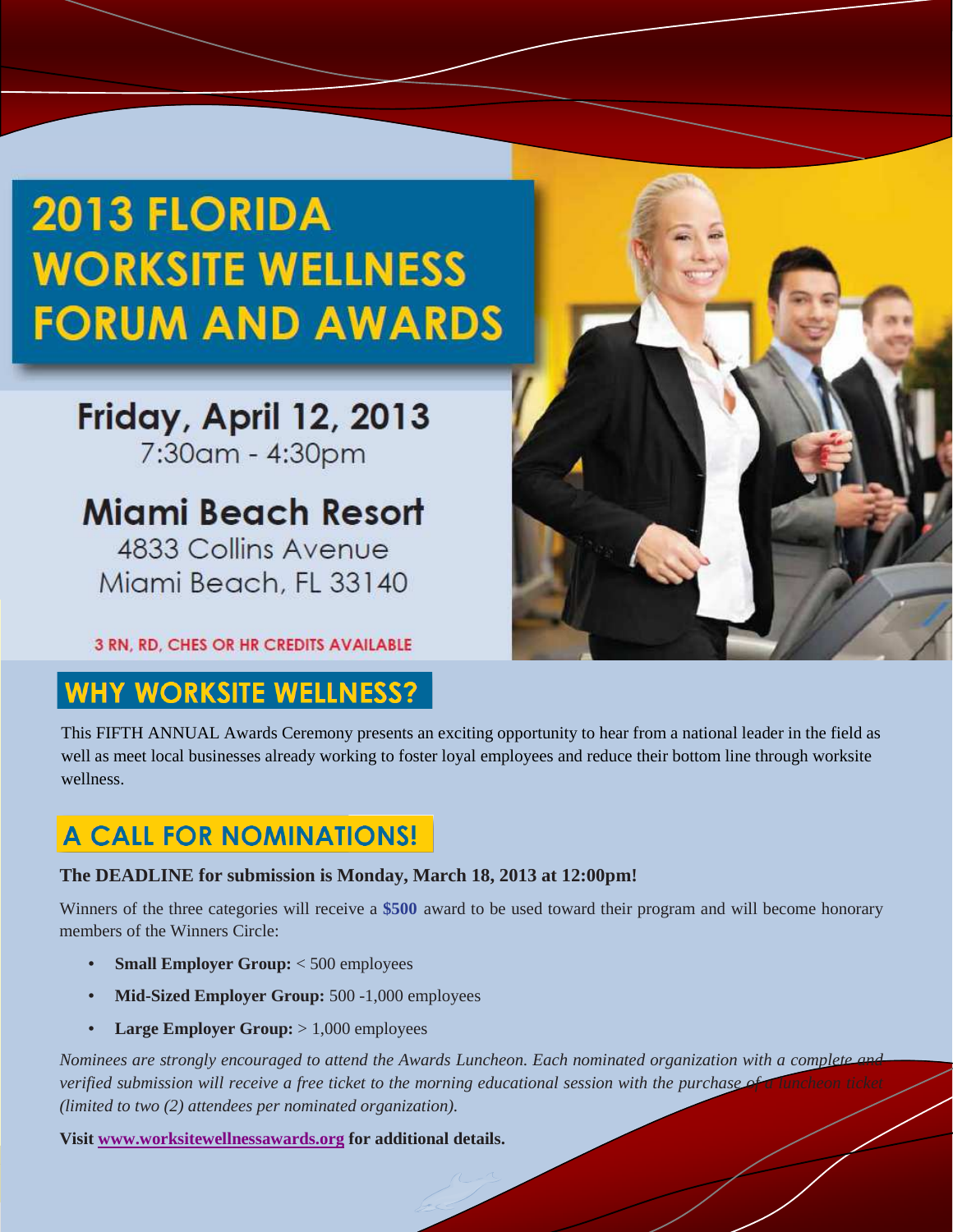## **2013 FLORIDA WORKSITE WELLNESS FORUM AND AWARDS**

## Friday, April 12, 2013 7:30am - 4:30pm

## **Miami Beach Resort** 4833 Collins Avenue

Miami Beach, FL 33140

**3 RN, RD, CHES OR HR CREDITS AVAILABLE** 

## **HY WORKSITE WELLNESS?**

This FIFTH ANNUAL Awards Ceremony presents an exciting opportunity to hear from a national leader in the field as well as meet local businesses already working to foster loyal employees and reduce their bottom line through worksite wellness.

## **A CALL FOR NOMINATIONS!**

### **The DEADLINE for submission is Monday, March 18, 2013 at 12:00pm!**

Winners of the three categories will receive a **\$500** award to be used toward their program and will become honorary members of the Winners Circle:

- **Small Employer Group:** < 500 employees
- **Mid-Sized Employer Group:** 500 -1,000 employees
- **Large Employer Group:** > 1,000 employees

*Nominees are strongly encouraged to attend the Awards Luncheon. Each nominated organization with a complete verified submission will receive a free ticket to the morning educational session with the purchase (limited to two (2) attendees per nominated organization).* 

**Visit www.worksitewellnessawards.org for additional details.**